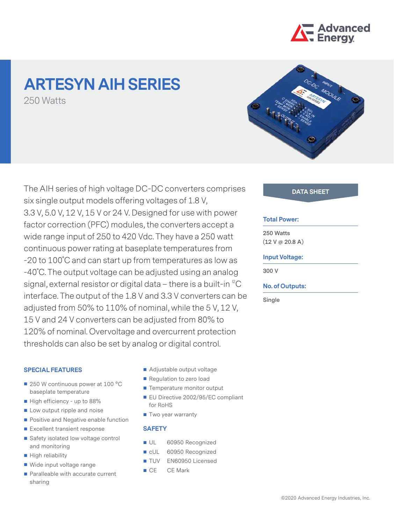

# **ARTESYN AIH SERIES** 250 Watts



The AIH series of high voltage DC-DC converters comprises **DATA SHEET** six single output models offering voltages of 1.8 V, 3.3 V, 5.0 V, 12 V, 15 V or 24 V. Designed for use with power factor correction (PFC) modules, the converters accept a wide range input of 250 to 420 Vdc. They have a 250 watt continuous power rating at baseplate temperatures from -20 to 100˚C and can start up from temperatures as low as -40˚C. The output voltage can be adjusted using an analog signal, external resistor or digital data – there is a built-in  ${}^{12}C$ interface. The output of the 1.8 V and 3.3 V converters can be adjusted from 50% to 110% of nominal, while the 5 V, 12 V, 15 V and 24 V converters can be adjusted from 80% to 120% of nominal. Overvoltage and overcurrent protection thresholds can also be set by analog or digital control.

#### **SPECIAL FEATURES**

- 250 W continuous power at 100 °C baseplate temperature
- High efficiency up to 88%
- Low output ripple and noise
- **Positive and Negative enable function**
- Excellent transient response
- Safety isolated low voltage control and monitoring
- High reliability
- Wide input voltage range
- Paralleable with accurate current sharing
- Adjustable output voltage
- Regulation to zero load
- Temperature monitor output
- **EU Directive 2002/95/EC compliant** for RoHS
- Two year warranty

### **SAFETY**

- UL 60950 Recognized
- cUL 60950 Recognized
- TUV EN60950 Licensed
- CE CE Mark

#### **Total Power:**

**250 Watts (12 V @ 20.8 A)**

#### **Input Voltage:**

**300 V**

#### **No. of Outputs:**

**Single**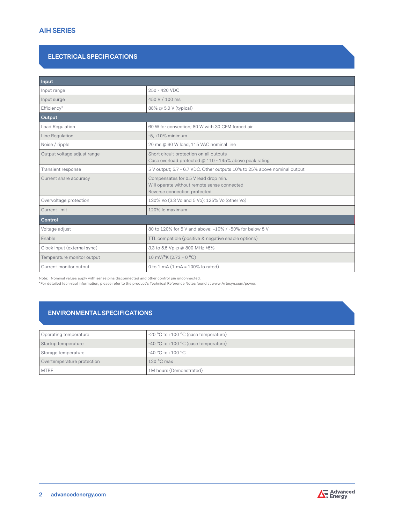# **ELECTRICAL SPECIFICATIONS**

| Input                       |                                                                                                                     |  |  |  |
|-----------------------------|---------------------------------------------------------------------------------------------------------------------|--|--|--|
| Input range                 | 250 - 420 VDC                                                                                                       |  |  |  |
| Input surge                 | 450 V / 100 ms                                                                                                      |  |  |  |
| Efficiency*                 | 88% @ 5.0 V (typical)                                                                                               |  |  |  |
| Output                      |                                                                                                                     |  |  |  |
| Load Regulation             | 60 W for convection; 80 W with 30 CFM forced air                                                                    |  |  |  |
| Line Regulation             | $-5, +10\%$ minimum                                                                                                 |  |  |  |
| Noise / ripple              | 20 ms @ 60 W load, 115 VAC nominal line                                                                             |  |  |  |
| Output voltage adjust range | Short circuit protection on all outputs<br>Case overload protected @ 110 - 145% above peak rating                   |  |  |  |
| Transient response          | 5 V output; 5.7 - 6.7 VDC. Other outputs 10% to 25% above nominal output                                            |  |  |  |
| Current share accuracy      | Compensates for 0.5 V lead drop min.<br>Will operate without remote sense connected<br>Reverse connection protected |  |  |  |
| Overvoltage protection      | 130% Vo (3.3 Vo and 5 Vo); 125% Vo (other Vo)                                                                       |  |  |  |
| Current limit               | 120% lo maximum                                                                                                     |  |  |  |
| Control                     |                                                                                                                     |  |  |  |
| Voltage adjust              | 80 to 120% for 5 V and above; +10% / -50% for below 5 V                                                             |  |  |  |
| Enable                      | TTL compatible (positive & negative enable options)                                                                 |  |  |  |
| Clock input (external sync) | 3.3 to 5.5 Vp-p @ 800 MHz ±5%                                                                                       |  |  |  |
| Temperature monitor output  | $10 \text{ mV}$ /°K (2.73 = 0 °C)                                                                                   |  |  |  |
| Current monitor output      | 0 to 1 mA $(1 \text{ mA} = 100\% \text{ lo rated})$                                                                 |  |  |  |

Note: Nominal values apply with sense pins disconnected and other control pin unconnected.

\*For detailed technical information, please refer to the product's Technical Reference Notes found at www.Artesyn.com/power.

# **ENVIRONMENTAL SPECIFICATIONS**

| Operating temperature      | -20 °C to +100 °C (case temperature) |
|----------------------------|--------------------------------------|
| Startup temperature        | -40 °C to +100 °C (case temperature) |
| Storage temperature        | -40 °C to +100 °C                    |
| Overtemperature protection | $120^{\circ}$ C max                  |
| <b>MTBF</b>                | 1M hours (Demonstrated)              |

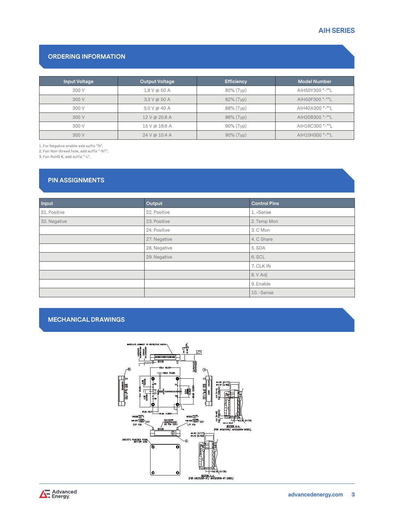# **AIH SERIES**

# **ORDERING INFORMATION**

| <b>Input Voltage</b> | <b>Output Voltage</b> | <b>Efficiency</b> | <b>Model Number</b> |
|----------------------|-----------------------|-------------------|---------------------|
| 300 V                | $1.8$ V @ 50 A        | 80% (Typ)         | AIH50Y300 *-**L     |
| 300 V                | $3.3 V \omega 50 A$   | 82% (Typ)         | AIH50F300 *-**L     |
| 300 V                | 5.0 V @ 40 A          | 88% (Typ)         | AIH40A300 *-**L     |
| 300 V                | 12 V @ 20.8 A         | 86% (Typ)         | AIH20B300 *-**L     |
| 300 V                | 15 V @ 16.6 A         | 90% (Typ)         | AIH16C300 *-**L     |
| 300 V                | 24 V @ 10.4 A         | $90\%$ (Typ)      | AIH10H300 *-**L     |

1. For Negative enable add suffix "N".

2. Fon Non-thread hole, add suffix "-NT".

3. Fon RoHS 6, add suffix "-L".

# **PIN ASSIGNMENTS**

| Input        | Output       | <b>Control Pins</b> |  |
|--------------|--------------|---------------------|--|
| 31. Positive | 22. Positive | 1. +Sense           |  |
| 32. Negative | 23. Positive | 2. Temp Mon         |  |
|              | 24. Positive | 3. C Mon            |  |
|              | 27. Negative | 4. C Share          |  |
|              | 28. Negative | 5. SDA              |  |
|              | 29. Negative | 6. SCL              |  |
|              |              | 7. CLK IN           |  |
|              |              | 8. V Adj            |  |
|              |              | 9. Enable           |  |
|              |              | 10. - Sense         |  |

# **MECHANICAL DRAWINGS**